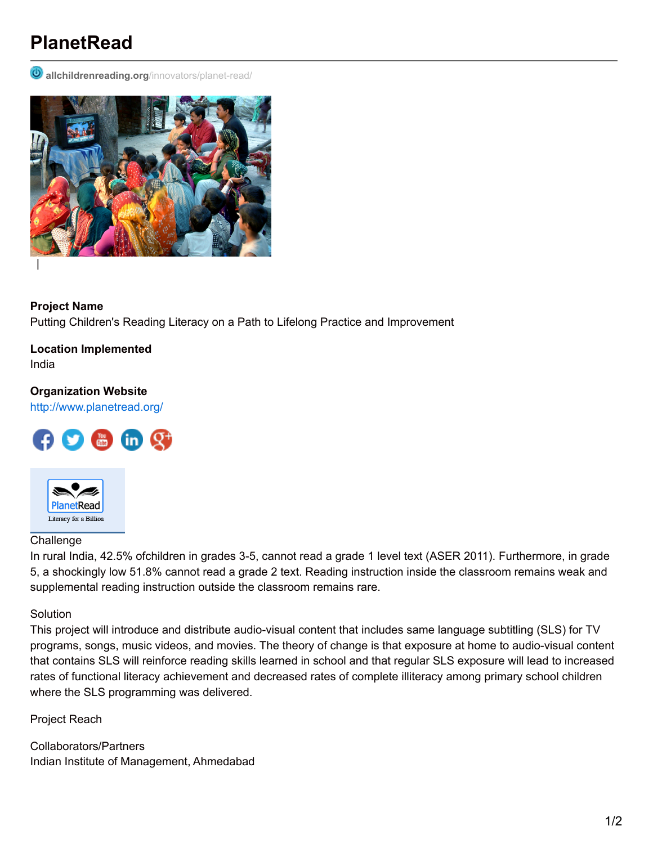# **PlanetRead**

**D** allchildrenreading.org[/innovators/planet-read/](http://allchildrenreading.org/innovators/planet-read/)



**Project Name** Putting Children's Reading Literacy on a Path to Lifelong Practice and Improvement

**Location Implemented** India

## **Organization Website**

<http://www.planetread.org/>





### Challenge

In rural India, 42.5% ofchildren in grades 3-5, cannot read a grade 1 level text (ASER 2011). Furthermore, in grade 5, a shockingly low 51.8% cannot read a grade 2 text. Reading instruction inside the classroom remains weak and supplemental reading instruction outside the classroom remains rare.

#### **Solution**

This project will introduce and distribute audio-visual content that includes same language subtitling (SLS) for TV programs, songs, music videos, and movies. The theory of change is that exposure at home to audio-visual content that contains SLS will reinforce reading skills learned in school and that regular SLS exposure will lead to increased rates of functional literacy achievement and decreased rates of complete illiteracy among primary school children where the SLS programming was delivered.

Project Reach

Collaborators/Partners Indian Institute of Management, Ahmedabad